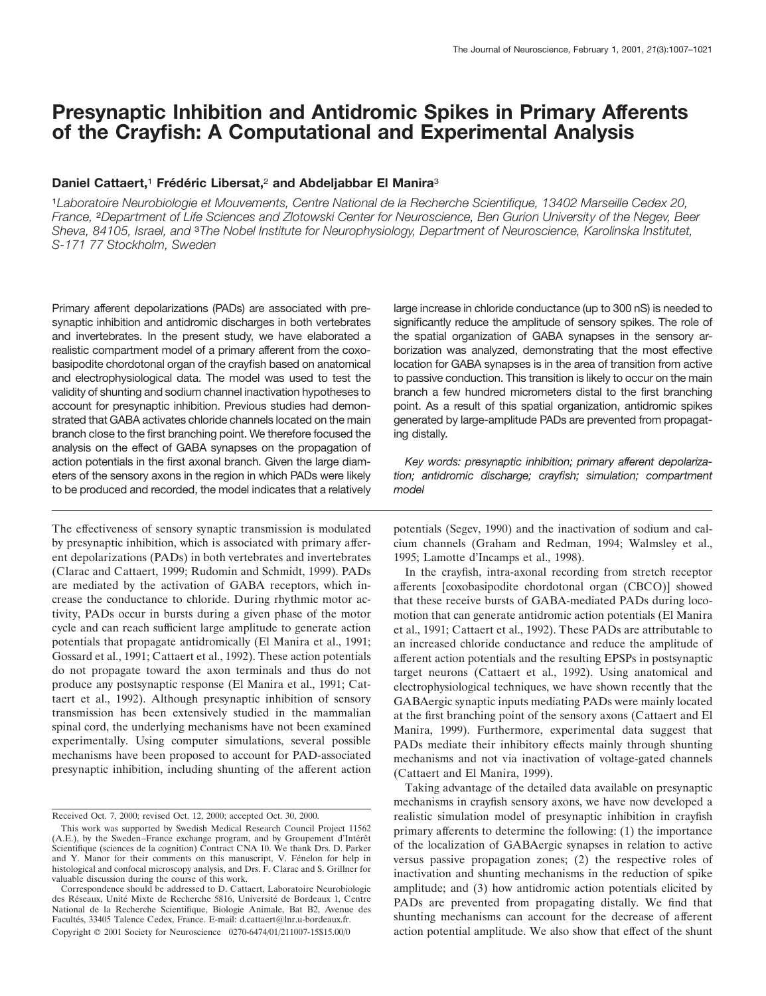# **Presynaptic Inhibition and Antidromic Spikes in Primary Afferents of the Crayfish: A Computational and Experimental Analysis**

# **Daniel Cattaert,<sup>1</sup> Frédéric Libersat,<sup>2</sup> and Abdeljabbar El Manira<sup>3</sup>**

<sup>1</sup>*Laboratoire Neurobiologie et Mouvements, Centre National de la Recherche Scientifique, 13402 Marseille Cedex 20, France,* <sup>2</sup>*Department of Life Sciences and Zlotowski Center for Neuroscience, Ben Gurion University of the Negev, Beer Sheva, 84105, Israel, and* <sup>3</sup>*The Nobel Institute for Neurophysiology, Department of Neuroscience, Karolinska Institutet, S-171 77 Stockholm, Sweden*

Primary afferent depolarizations (PADs) are associated with presynaptic inhibition and antidromic discharges in both vertebrates and invertebrates. In the present study, we have elaborated a realistic compartment model of a primary afferent from the coxobasipodite chordotonal organ of the crayfish based on anatomical and electrophysiological data. The model was used to test the validity of shunting and sodium channel inactivation hypotheses to account for presynaptic inhibition. Previous studies had demonstrated that GABA activates chloride channels located on the main branch close to the first branching point. We therefore focused the analysis on the effect of GABA synapses on the propagation of action potentials in the first axonal branch. Given the large diameters of the sensory axons in the region in which PADs were likely to be produced and recorded, the model indicates that a relatively

The effectiveness of sensory synaptic transmission is modulated by presynaptic inhibition, which is associated with primary afferent depolarizations (PADs) in both vertebrates and invertebrates (Clarac and Cattaert, 1999; Rudomin and Schmidt, 1999). PADs are mediated by the activation of GABA receptors, which increase the conductance to chloride. During rhythmic motor activity, PADs occur in bursts during a given phase of the motor cycle and can reach sufficient large amplitude to generate action potentials that propagate antidromically (El Manira et al., 1991; Gossard et al., 1991; Cattaert et al., 1992). These action potentials do not propagate toward the axon terminals and thus do not produce any postsynaptic response (El Manira et al., 1991; Cattaert et al., 1992). Although presynaptic inhibition of sensory transmission has been extensively studied in the mammalian spinal cord, the underlying mechanisms have not been examined experimentally. Using computer simulations, several possible mechanisms have been proposed to account for PAD-associated presynaptic inhibition, including shunting of the afferent action large increase in chloride conductance (up to 300 nS) is needed to significantly reduce the amplitude of sensory spikes. The role of the spatial organization of GABA synapses in the sensory arborization was analyzed, demonstrating that the most effective location for GABA synapses is in the area of transition from active to passive conduction. This transition is likely to occur on the main branch a few hundred micrometers distal to the first branching point. As a result of this spatial organization, antidromic spikes generated by large-amplitude PADs are prevented from propagating distally.

*Key words: presynaptic inhibition; primary afferent depolarization; antidromic discharge; crayfish; simulation; compartment model*

potentials (Segev, 1990) and the inactivation of sodium and calcium channels (Graham and Redman, 1994; Walmsley et al., 1995; Lamotte d'Incamps et al., 1998).

In the crayfish, intra-axonal recording from stretch receptor afferents [coxobasipodite chordotonal organ (CBCO)] showed that these receive bursts of GABA-mediated PADs during locomotion that can generate antidromic action potentials (El Manira et al., 1991; Cattaert et al., 1992). These PADs are attributable to an increased chloride conductance and reduce the amplitude of afferent action potentials and the resulting EPSPs in postsynaptic target neurons (Cattaert et al., 1992). Using anatomical and electrophysiological techniques, we have shown recently that the GABAergic synaptic inputs mediating PADs were mainly located at the first branching point of the sensory axons (Cattaert and El Manira, 1999). Furthermore, experimental data suggest that PADs mediate their inhibitory effects mainly through shunting mechanisms and not via inactivation of voltage-gated channels (Cattaert and El Manira, 1999).

Taking advantage of the detailed data available on presynaptic mechanisms in crayfish sensory axons, we have now developed a realistic simulation model of presynaptic inhibition in crayfish primary afferents to determine the following: (1) the importance of the localization of GABAergic synapses in relation to active versus passive propagation zones; (2) the respective roles of inactivation and shunting mechanisms in the reduction of spike amplitude; and (3) how antidromic action potentials elicited by PADs are prevented from propagating distally. We find that shunting mechanisms can account for the decrease of afferent action potential amplitude. We also show that effect of the shunt

Received Oct. 7, 2000; revised Oct. 12, 2000; accepted Oct. 30, 2000.

This work was supported by Swedish Medical Research Council Project 11562 (A.E.), by the Sweden-France exchange program, and by Groupement d'Intérêt Scientifique (sciences de la cognition) Contract CNA 10. We thank Drs. D. Parker and Y. Manor for their comments on this manuscript, V. Fénelon for help in histological and confocal microscopy analysis, and Drs. F. Clarac and S. Grillner for valuable discussion during the course of this work.

Correspondence should be addressed to D. Cattaert, Laboratoire Neurobiologie des Réseaux, Unité Mixte de Recherche 5816, Université de Bordeaux 1, Centre National de la Recherche Scientifique, Biologie Animale, Bat B2, Avenue des Facultés, 33405 Talence Cedex, France. E-mail: d.cattaert@lnr.u-bordeaux.fr. Copyright © 2001 Society for Neuroscience 0270-6474/01/211007-15\$15.00/0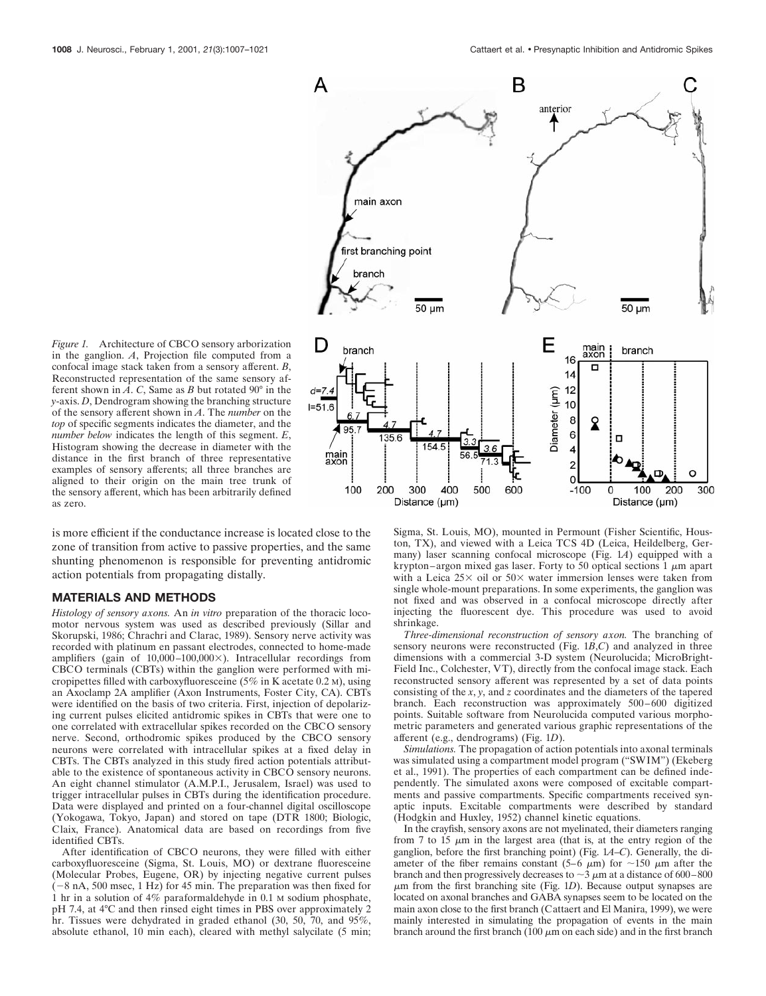A



в

*Figure 1.* Architecture of CBCO sensory arborization in the ganglion. *A*, Projection file computed from a confocal image stack taken from a sensory afferent. *B*, Reconstructed representation of the same sensory afferent shown in  $A$ .  $C$ , Same as  $B$  but rotated  $90^\circ$  in the *y*-axis. *D*, Dendrogram showing the branching structure of the sensory afferent shown in *A*. The *number* on the *top* of specific segments indicates the diameter, and the *number below* indicates the length of this segment. *E*, Histogram showing the decrease in diameter with the distance in the first branch of three representative examples of sensory afferents; all three branches are aligned to their origin on the main tree trunk of the sensory afferent, which has been arbitrarily defined as zero.

is more efficient if the conductance increase is located close to the zone of transition from active to passive properties, and the same shunting phenomenon is responsible for preventing antidromic action potentials from propagating distally.

## **MATERIALS AND METHODS**

*Histology of sensory axons.* An *in vitro* preparation of the thoracic locomotor nervous system was used as described previously (Sillar and Skorupski, 1986; Chrachri and Clarac, 1989). Sensory nerve activity was recorded with platinum en passant electrodes, connected to home-made amplifiers (gain of  $10,000-100,000\times$ ). Intracellular recordings from CBCO terminals (CBTs) within the ganglion were performed with micropipettes filled with carboxyfluoresceine (5% in K acetate 0.2 M), using an Axoclamp 2A amplifier (Axon Instruments, Foster City, CA). CBTs were identified on the basis of two criteria. First, injection of depolarizing current pulses elicited antidromic spikes in CBTs that were one to one correlated with extracellular spikes recorded on the CBCO sensory nerve. Second, orthodromic spikes produced by the CBCO sensory neurons were correlated with intracellular spikes at a fixed delay in CBTs. The CBTs analyzed in this study fired action potentials attributable to the existence of spontaneous activity in CBCO sensory neurons. An eight channel stimulator (A.M.P.I., Jerusalem, Israel) was used to trigger intracellular pulses in CBTs during the identification procedure. Data were displayed and printed on a four-channel digital oscilloscope (Yokogawa, Tokyo, Japan) and stored on tape (DTR 1800; Biologic, Claix, France). Anatomical data are based on recordings from five identified CBTs.

After identification of CBCO neurons, they were filled with either carboxyfluoresceine (Sigma, St. Louis, MO) or dextrane fluoresceine (Molecular Probes, Eugene, OR) by injecting negative current pulses  $(-8 \text{ nA}, 500 \text{ msec}, 1 \text{ Hz})$  for 45 min. The preparation was then fixed for 1 hr in a solution of 4% paraformaldehyde in 0.1 M sodium phosphate, pH 7.4, at 4°C and then rinsed eight times in PBS over approximately 2 hr. Tissues were dehydrated in graded ethanol (30, 50, 70, and 95%, absolute ethanol, 10 min each), cleared with methyl salycilate (5 min;

Sigma, St. Louis, MO), mounted in Permount (Fisher Scientific, Houston, TX), and viewed with a Leica TCS 4D (Leica, Heildelberg, Germany) laser scanning confocal microscope (Fig. 1*A*) equipped with a krypton–argon mixed gas laser. Forty to 50 optical sections  $1 \mu m$  apart with a Leica  $25\times$  oil or  $50\times$  water immersion lenses were taken from single whole-mount preparations. In some experiments, the ganglion was not fixed and was observed in a confocal microscope directly after injecting the fluorescent dye. This procedure was used to avoid shrinkage.

*Three-dimensional reconstruction of sensory axon.* The branching of sensory neurons were reconstructed (Fig. 1*B*,*C*) and analyzed in three dimensions with a commercial 3-D system (Neurolucida; MicroBright-Field Inc., Colchester, VT), directly from the confocal image stack. Each reconstructed sensory afferent was represented by a set of data points consisting of the *x*, *y*, and *z* coordinates and the diameters of the tapered branch. Each reconstruction was approximately 500–600 digitized points. Suitable software from Neurolucida computed various morphometric parameters and generated various graphic representations of the afferent (e.g., dendrograms) (Fig. 1*D*).

*Simulations.* The propagation of action potentials into axonal terminals was simulated using a compartment model program ("SWIM") (Ekeberg et al., 1991). The properties of each compartment can be defined independently. The simulated axons were composed of excitable compartments and passive compartments. Specific compartments received synaptic inputs. Excitable compartments were described by standard (Hodgkin and Huxley, 1952) channel kinetic equations.

In the crayfish, sensory axons are not myelinated, their diameters ranging from 7 to 15  $\mu$ m in the largest area (that is, at the entry region of the ganglion, before the first branching point) (Fig. 1*A*–*C*). Generally, the diameter of the fiber remains constant  $(5-6 \mu m)$  for  $\sim 150 \mu m$  after the branch and then progressively decreases to  $\sim$ 3  $\mu$ m at a distance of 600–800  $\mu$ m from the first branching site (Fig. 1*D*). Because output synapses are located on axonal branches and GABA synapses seem to be located on the main axon close to the first branch (Cattaert and El Manira, 1999), we were mainly interested in simulating the propagation of events in the main branch around the first branch (100  $\mu$ m on each side) and in the first branch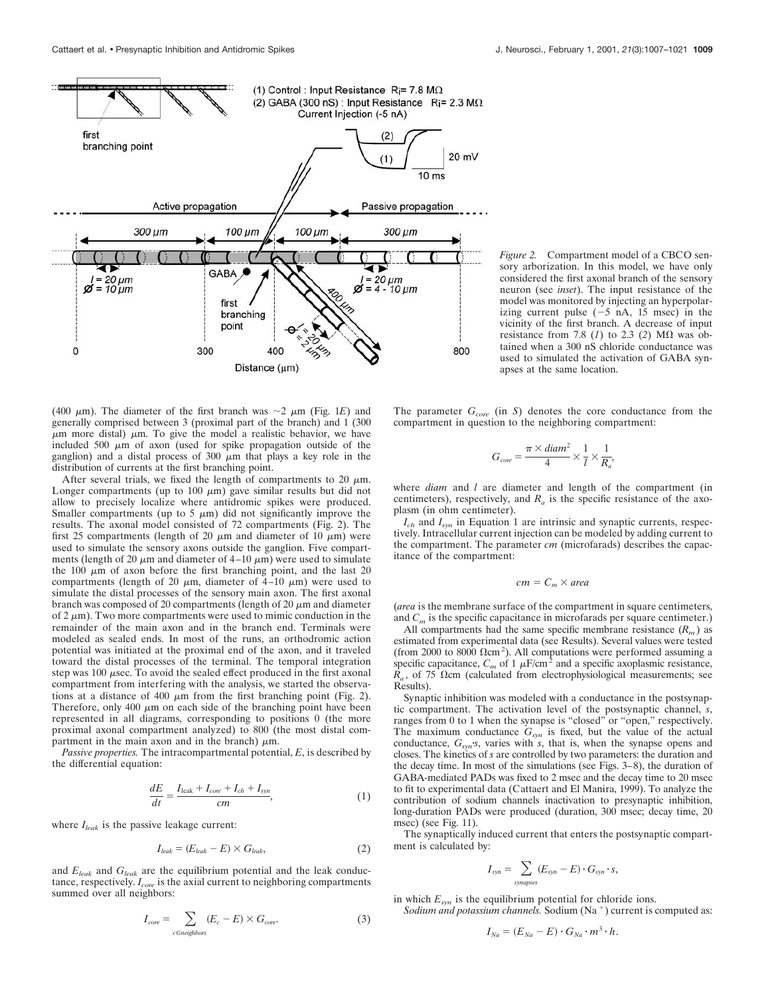

*Figure 2.* Compartment model of a CBCO sensory arborization. In this model, we have only considered the first axonal branch of the sensory neuron (see *inset*). The input resistance of the model was monitored by injecting an hyperpolarizing current pulse  $(-5 \text{ nA}, 15 \text{ msec})$  in the vicinity of the first branch. A decrease of input resistance from 7.8 (1) to 2.3 (2)  $M\Omega$  was obtained when a 300 nS chloride conductance was used to simulated the activation of GABA synapses at the same location.

(400  $\mu$ m). The diameter of the first branch was  $\sim$ 2  $\mu$ m (Fig. 1*E*) and generally comprised between 3 (proximal part of the branch) and 1 (300  $\mu$ m more distal)  $\mu$ m. To give the model a realistic behavior, we have included 500  $\mu$ m of axon (used for spike propagation outside of the ganglion) and a distal process of 300  $\mu$ m that plays a key role in the distribution of currents at the first branching point.

After several trials, we fixed the length of compartments to 20  $\mu$ m. Longer compartments (up to 100  $\mu$ m) gave similar results but did not allow to precisely localize where antidromic spikes were produced. Smaller compartments (up to 5  $\mu$ m) did not significantly improve the results. The axonal model consisted of 72 compartments (Fig. 2). The first 25 compartments (length of 20  $\mu$ m and diameter of 10  $\mu$ m) were used to simulate the sensory axons outside the ganglion. Five compartments (length of 20  $\mu$ m and diameter of 4–10  $\mu$ m) were used to simulate the 100  $\mu$ m of axon before the first branching point, and the last 20 compartments (length of 20  $\mu$ m, diameter of 4–10  $\mu$ m) were used to simulate the distal processes of the sensory main axon. The first axonal branch was composed of 20 compartments (length of 20  $\mu$ m and diameter of  $2 \mu m$ ). Two more compartments were used to mimic conduction in the remainder of the main axon and in the branch end. Terminals were modeled as sealed ends. In most of the runs, an orthodromic action potential was initiated at the proximal end of the axon, and it traveled toward the distal processes of the terminal. The temporal integration step was  $100 \mu$ sec. To avoid the sealed effect produced in the first axonal compartment from interfering with the analysis, we started the observations at a distance of 400  $\mu$ m from the first branching point (Fig. 2). Therefore, only 400  $\mu$ m on each side of the branching point have been represented in all diagrams, corresponding to positions 0 (the more proximal axonal compartment analyzed) to 800 (the most distal compartment in the main axon and in the branch)  $\mu$ m.

*Passive properties.* The intracompartmental potential, *E*, is described by the differential equation:

$$
\frac{dE}{dt} = \frac{I_{\text{leak}} + I_{core} + I_{ch} + I_{syn}}{cm},\tag{1}
$$

where  $I_{leak}$  is the passive leakage current:

$$
I_{leak} = (E_{leak} - E) \times G_{leak},\tag{2}
$$

and *Eleak* and *Gleak* are the equilibrium potential and the leak conductance, respectively.  $I_{core}$  is the axial current to neighboring compartments summed over all neighbors:

$$
I_{\text{core}} = \sum_{c \in \text{neighbors}} (E_c - E) \times G_{\text{core}}.
$$
 (3)

The parameter  $G_{core}$  (in  $S$ ) denotes the core conductance from the compartment in question to the neighboring compartment:

$$
G_{core} = \frac{\pi \times diam^2}{4} \times \frac{1}{l} \times \frac{1}{R_a},
$$

where *diam* and *l* are diameter and length of the compartment (in centimeters), respectively, and  $R_a$  is the specific resistance of the axoplasm (in ohm centimeter).

*Ich* and *Isyn* in Equation 1 are intrinsic and synaptic currents, respectively. Intracellular current injection can be modeled by adding current to the compartment. The parameter *cm* (microfarads) describes the capacitance of the compartment:

$$
cm = C_m \times area
$$

(*area* is the membrane surface of the compartment in square centimeters, and  $C_m$  is the specific capacitance in microfarads per square centimeter.)

All compartments had the same specific membrane resistance  $(R<sub>m</sub>)$  as estimated from experimental data (see Results). Several values were tested (from 2000 to 8000  $\Omega$ cm<sup>2</sup>). All computations were performed assuming a specific capacitance,  $C_m$  of 1  $\mu$ F/cm<sup>2</sup> and a specific axoplasmic resistance,  $R_a$ , of 75  $\Omega$ cm (calculated from electrophysiological measurements; see Results).

Synaptic inhibition was modeled with a conductance in the postsynaptic compartment. The activation level of the postsynaptic channel, *s*, ranges from 0 to 1 when the synapse is "closed" or "open," respectively. The maximum conductance  $G_{syn}$  is fixed, but the value of the actual conductance,  $G_{syn}$ *s*, varies with *s*, that is, when the synapse opens and closes. The kinetics of *s* are controlled by two parameters: the duration and the decay time. In most of the simulations (see Figs. 3–8), the duration of GABA-mediated PADs was fixed to 2 msec and the decay time to 20 msec to fit to experimental data (Cattaert and El Manira, 1999). To analyze the contribution of sodium channels inactivation to presynaptic inhibition, long-duration PADs were produced (duration, 300 msec; decay time, 20 msec) (see Fig. 11).

The synaptically induced current that enters the postsynaptic compartment is calculated by:

$$
I_{syn} = \sum_{synapses} (E_{syn} - E) \cdot G_{syn} \cdot s,
$$

in which  $E_{syn}$  is the equilibrium potential for chloride ions.<br>*Sodium and potassium channels*. Sodium (Na<sup>+</sup>) current is computed as:

$$
I_{Na} = (E_{Na} - E) \cdot G_{Na} \cdot m^3 \cdot h.
$$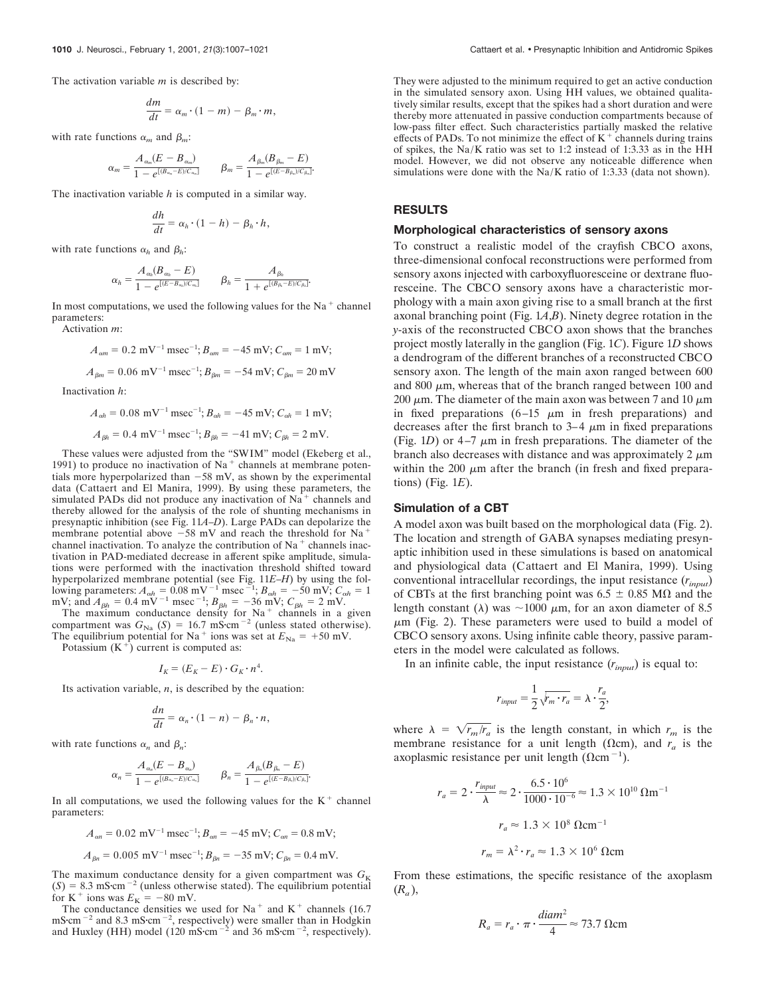The activation variable *m* is described by:

$$
\frac{dm}{dt} = \alpha_m \cdot (1 - m) - \beta_m \cdot m,
$$

with rate functions  $\alpha_m$  and  $\beta_m$ .

$$
\alpha_m = \frac{A_{\alpha_m}(E - B_{\alpha_m})}{1 - e^{[(B_{\alpha_m} - E)(C_{\alpha_m})]}} \qquad \beta_m = \frac{A_{\beta_m}(B_{\beta_m} - E)}{1 - e^{[(E - B_{\beta_m})(C_{\beta_m})]}}
$$

The inactivation variable *h* is computed in a similar way.

$$
\frac{dh}{dt} = \alpha_h \cdot (1 - h) - \beta_h \cdot h,
$$

with rate functions  $\alpha_h$  and  $\beta_h$ :

$$
\alpha_h = \frac{A_{\alpha_h}(B_{\alpha_h} - E)}{1 - e^{[(E - B_{\alpha_h})/C_{\alpha_h}]}}, \qquad \beta_h = \frac{A_{\beta_h}}{1 + e^{[(B_{\beta_h} - E)/C_{\beta_h}]}}.
$$

In most computations, we used the following values for the  $Na<sup>+</sup>$  channel parameters:

Activation *m*:

$$
A_{\alpha m} = 0.2 \text{ mV}^{-1} \text{ msec}^{-1}; B_{\alpha m} = -45 \text{ mV}; C_{\alpha m} = 1 \text{ mV};
$$
  

$$
A_{\beta m} = 0.06 \text{ mV}^{-1} \text{ msec}^{-1}; B_{\beta m} = -54 \text{ mV}; C_{\beta m} = 20 \text{ mV}
$$

Inactivation *h*:

$$
A_{\alpha h} = 0.08 \text{ mV}^{-1} \text{ msec}^{-1}; B_{\alpha h} = -45 \text{ mV}; C_{\alpha h} = 1 \text{ mV};
$$
  
 $A_{\beta h} = 0.4 \text{ mV}^{-1} \text{ msec}^{-1}; B_{\beta h} = -41 \text{ mV}; C_{\beta h} = 2 \text{ mV}.$ 

These values were adjusted from the "SWIM" model (Ekeberg et al., 1991) to produce no inactivation of Na<sup>+</sup> channels at membrane potentials more hyperpolarized than  $-58$  mV, as shown by the experimental data (Cattaert and El Manira, 1999). By using these parameters, the simulated PADs did not produce any inactivation of  $Na<sup>+</sup>$  channels and thereby allowed for the analysis of the role of shunting mechanisms in presynaptic inhibition (see Fig. 11*A*–*D*). Large PADs can depolarize the membrane potential above  $-58$  mV and reach the threshold for Na<sup>+</sup> channel inactivation. To analyze the contribution of  $Na<sup>+</sup>$  channels inactivation in PAD-mediated decrease in afferent spike amplitude, simulations were performed with the inactivation threshold shifted toward hyperpolarized membrane potential (see Fig. 11E-H) by using the fol-<br>lowing parameters:  $A_{\alpha h} = 0.08 \text{ mV}^{-1} \text{ msec}^{-1}$ ;  $B_{\alpha h} = -50 \text{ mV}$ ;  $C_{\alpha h} = 1 \text{ mV}$ ; and  $A_{\beta h} = 0.4 \text{ mV}^{-1} \text{ msec}^{-1}$ ;  $B_{\beta h} = -36 \text{ mV}$ ;  $C_{\beta$ 

compartment was  $G_{\text{Na}}$  (*S*) = 16.7 mS·cm<sup>-2</sup> (unless stated otherwise). The equilibrium potential for Na<sup>+</sup> ions was set at  $E_{\text{Na}} = +50$  mV.

Potassium  $(K^+)$  current is computed as:

$$
I_K = (E_K - E) \cdot G_K \cdot n^4.
$$

Its activation variable, *n*, is described by the equation:

$$
\frac{dn}{dt} = \alpha_n \cdot (1 - n) - \beta_n \cdot n,
$$

with rate functions  $\alpha_n$  and  $\beta_n$ :

$$
\alpha_n = \frac{A_{\alpha_n}(E - B_{\alpha_n})}{1 - e^{[(B_{\alpha_n} - E)/(C_{\alpha_n}])}} \qquad \beta_n = \frac{A_{\beta_n}(B_{\beta_n} - E)}{1 - e^{[(E - B_{\beta_n})(C_{\beta_n}])}}.
$$

In all computations, we used the following values for the  $K^+$  channel parameters:

$$
A_{\alpha n} = 0.02 \text{ mV}^{-1} \text{ msec}^{-1}; B_{\alpha n} = -45 \text{ mV}; C_{\alpha n} = 0.8 \text{ mV};
$$
  

$$
A_{\beta n} = 0.005 \text{ mV}^{-1} \text{ msec}^{-1}; B_{\beta n} = -35 \text{ mV}; C_{\beta n} = 0.4 \text{ mV}.
$$

The maximum conductance density for a given compartment was  $G_K$  $(S) = 8.3$  mS·cm<sup>-2</sup> (unless otherwise stated). The equilibrium potential for K<sup>+</sup> ions was  $E_K = -80$  mV.

The conductance densities we used for  $Na<sup>+</sup>$  and  $K<sup>+</sup>$  channels (16.7)  $mS$ ·cm<sup>-2</sup> and 8.3 mS·cm<sup>-2</sup>, respectively) were smaller than in Hodgkin and Huxley (HH) model (120 mS·cm<sup> $-2$ </sup> and 36 mS·cm<sup> $-2$ </sup>, respectively). They were adjusted to the minimum required to get an active conduction in the simulated sensory axon. Using HH values, we obtained qualitatively similar results, except that the spikes had a short duration and were thereby more attenuated in passive conduction compartments because of low-pass filter effect. Such characteristics partially masked the relative effects of PADs. To not minimize the effect of  $K^+$  channels during trains of spikes, the Na/K ratio was set to 1:2 instead of 1:3.33 as in the HH model. However, we did not observe any noticeable difference when simulations were done with the Na/K ratio of 1:3.33 (data not shown).

## **RESULTS**

#### **Morphological characteristics of sensory axons**

To construct a realistic model of the crayfish CBCO axons, three-dimensional confocal reconstructions were performed from sensory axons injected with carboxyfluoresceine or dextrane fluoresceine. The CBCO sensory axons have a characteristic morphology with a main axon giving rise to a small branch at the first axonal branching point (Fig. 1*A*,*B*). Ninety degree rotation in the *y*-axis of the reconstructed CBCO axon shows that the branches project mostly laterally in the ganglion (Fig. 1*C*). Figure 1*D* shows a dendrogram of the different branches of a reconstructed CBCO sensory axon. The length of the main axon ranged between 600 and 800  $\mu$ m, whereas that of the branch ranged between 100 and 200  $\mu$ m. The diameter of the main axon was between 7 and 10  $\mu$ m in fixed preparations  $(6-15 \mu m)$  in fresh preparations) and decreases after the first branch to  $3-4 \mu m$  in fixed preparations (Fig. 1*D*) or  $4-7 \mu m$  in fresh preparations. The diameter of the branch also decreases with distance and was approximately  $2 \mu m$ within the 200  $\mu$ m after the branch (in fresh and fixed preparations) (Fig. 1*E*).

#### **Simulation of a CBT**

A model axon was built based on the morphological data (Fig. 2). The location and strength of GABA synapses mediating presynaptic inhibition used in these simulations is based on anatomical and physiological data (Cattaert and El Manira, 1999). Using conventional intracellular recordings, the input resistance (*rinput*) of CBTs at the first branching point was 6.5  $\pm$  0.85 M $\Omega$  and the length constant ( $\lambda$ ) was ~1000  $\mu$ m, for an axon diameter of 8.5  $\mu$ m (Fig. 2). These parameters were used to build a model of CBCO sensory axons. Using infinite cable theory, passive parameters in the model were calculated as follows.

In an infinite cable, the input resistance (*rinput*) is equal to:

$$
r_{input} = \frac{1}{2} \sqrt{r_m \cdot r_a} = \lambda \cdot \frac{r_a}{2},
$$

where  $\lambda = \sqrt{r_m}/r_a$  is the length constant, in which  $r_m$  is the membrane resistance for a unit length ( $\Omega$ cm), and  $r_a$  is the axoplasmic resistance per unit length  $(\Omega \text{cm}^{-1})$ .

$$
r_a = 2 \cdot \frac{r_{input}}{\lambda} \approx 2 \cdot \frac{6.5 \cdot 10^6}{1000 \cdot 10^{-6}} \approx 1.3 \times 10^{10} \,\Omega \text{m}^{-1}
$$

$$
r_a \approx 1.3 \times 10^8 \,\Omega \text{cm}^{-1}
$$

$$
r_m = \lambda^2 \cdot r_a \approx 1.3 \times 10^6 \,\Omega \text{cm}
$$

From these estimations, the specific resistance of the axoplasm  $(R_a)$ ,

$$
R_a = r_a \cdot \pi \cdot \frac{diam^2}{4} \approx 73.7 \text{ }\Omega \text{cm}
$$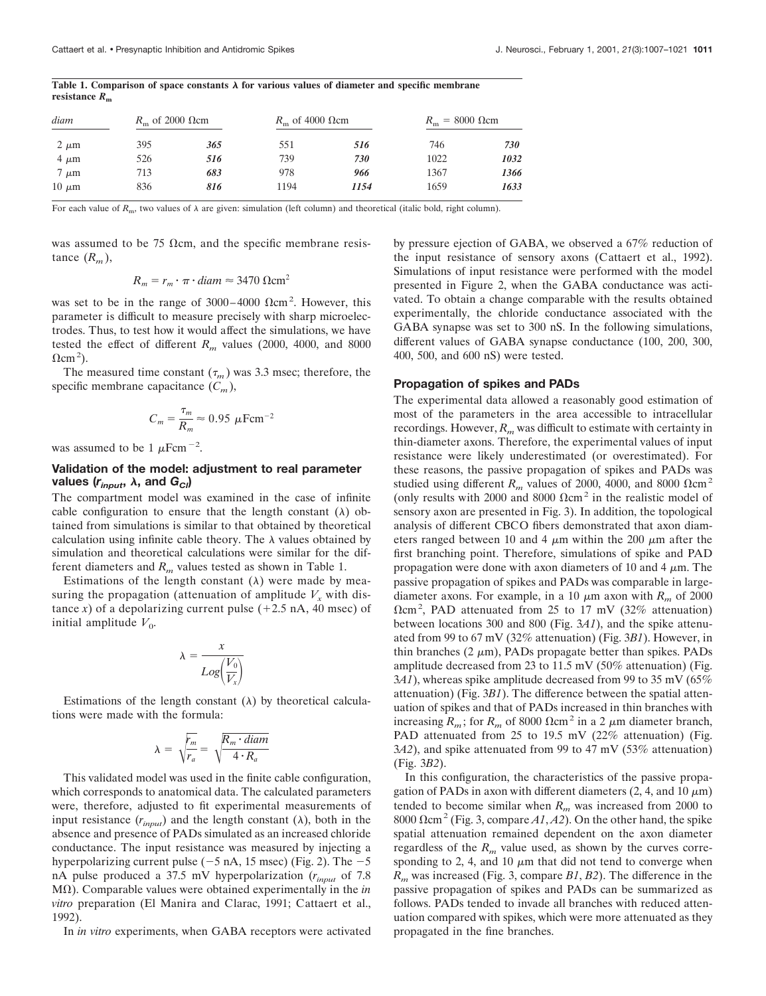| diam       | $R_{\rm m}$ of 2000 $\Omega$ cm |     | $R_{\rm m}$ of 4000 $\Omega$ cm |      | $R_m = 8000 \Omega$ cm |      |
|------------|---------------------------------|-----|---------------------------------|------|------------------------|------|
| $2 \mu m$  | 395                             | 365 | 551                             | 516  | 746                    | 730  |
| $4 \mu m$  | 526                             | 516 | 739                             | 730  | 1022                   | 1032 |
| $7 \mu m$  | 713                             | 683 | 978                             | 966  | 1367                   | 1366 |
| $10 \mu m$ | 836                             | 816 | 1194                            | 1154 | 1659                   | 1633 |

Table 1. Comparison of space constants  $\lambda$  for various values of diameter and specific membrane **resistance** *R***<sup>m</sup>**

For each value of  $R<sub>m</sub>$ , two values of  $\lambda$  are given: simulation (left column) and theoretical (italic bold, right column).

was assumed to be 75  $\Omega$ cm, and the specific membrane resistance  $(R_m)$ ,

$$
R_m = r_m \cdot \pi \cdot diam \approx 3470 \ \Omega \text{cm}^2
$$

was set to be in the range of  $3000-4000 \Omega$ cm<sup>2</sup>. However, this parameter is difficult to measure precisely with sharp microelectrodes. Thus, to test how it would affect the simulations, we have tested the effect of different  $R_m$  values (2000, 4000, and 8000  $\Omega$ cm<sup>2</sup>).

The measured time constant  $(\tau_m)$  was 3.3 msec; therefore, the specific membrane capacitance  $(C_m)$ ,

$$
C_m = \frac{\tau_m}{R_m} \approx 0.95 \ \mu \text{Fcm}^{-2}
$$

was assumed to be 1  $\mu$ Fcm<sup>-2</sup>.

# **Validation of the model: adjustment to real parameter** values  $(r_{input}, \lambda, \text{and } G_{Cl})$

The compartment model was examined in the case of infinite cable configuration to ensure that the length constant  $(\lambda)$  obtained from simulations is similar to that obtained by theoretical calculation using infinite cable theory. The  $\lambda$  values obtained by simulation and theoretical calculations were similar for the different diameters and  $R_m$  values tested as shown in Table 1.

Estimations of the length constant  $(\lambda)$  were made by measuring the propagation (attenuation of amplitude  $V<sub>x</sub>$  with distance *x*) of a depolarizing current pulse  $(+2.5 \text{ nA}, 40 \text{ msec})$  of initial amplitude  $V_0$ .

$$
\lambda = \frac{x}{Log\left(\frac{V_0}{V_x}\right)}
$$

Estimations of the length constant  $(\lambda)$  by theoretical calculations were made with the formula:

$$
\lambda = \sqrt{\frac{r_m}{r_a}} = \sqrt{\frac{R_m \cdot diam}{4 \cdot R_a}}
$$

This validated model was used in the finite cable configuration, which corresponds to anatomical data. The calculated parameters were, therefore, adjusted to fit experimental measurements of input resistance  $(r_{input})$  and the length constant  $(\lambda)$ , both in the absence and presence of PADs simulated as an increased chloride conductance. The input resistance was measured by injecting a hyperpolarizing current pulse ( $-5$  nA, 15 msec) (Fig. 2). The  $-5$ nA pulse produced a 37.5 mV hyperpolarization (*rinput* of 7.8  $M<sub>Ω</sub>$ ). Comparable values were obtained experimentally in the *in vitro* preparation (El Manira and Clarac, 1991; Cattaert et al., 1992).

In *in vitro* experiments, when GABA receptors were activated

by pressure ejection of GABA, we observed a 67% reduction of the input resistance of sensory axons (Cattaert et al., 1992). Simulations of input resistance were performed with the model presented in Figure 2, when the GABA conductance was activated. To obtain a change comparable with the results obtained experimentally, the chloride conductance associated with the GABA synapse was set to 300 nS. In the following simulations, different values of GABA synapse conductance (100, 200, 300, 400, 500, and 600 nS) were tested.

#### **Propagation of spikes and PADs**

The experimental data allowed a reasonably good estimation of most of the parameters in the area accessible to intracellular recordings. However,  $R_m$  was difficult to estimate with certainty in thin-diameter axons. Therefore, the experimental values of input resistance were likely underestimated (or overestimated). For these reasons, the passive propagation of spikes and PADs was studied using different  $R_m$  values of 2000, 4000, and 8000  $\Omega$ cm<sup>2</sup> (only results with 2000 and 8000  $\Omega$ cm<sup>2</sup> in the realistic model of sensory axon are presented in Fig. 3). In addition, the topological analysis of different CBCO fibers demonstrated that axon diameters ranged between 10 and 4  $\mu$ m within the 200  $\mu$ m after the first branching point. Therefore, simulations of spike and PAD propagation were done with axon diameters of 10 and 4  $\mu$ m. The passive propagation of spikes and PADs was comparable in largediameter axons. For example, in a 10  $\mu$ m axon with  $R_m$  of 2000  $\Omega$ cm<sup>2</sup>, PAD attenuated from 25 to 17 mV (32% attenuation) between locations 300 and 800 (Fig. 3*A1*), and the spike attenuated from 99 to 67 mV (32% attenuation) (Fig. 3*B1*). However, in thin branches  $(2 \mu m)$ , PADs propagate better than spikes. PADs amplitude decreased from 23 to 11.5 mV (50% attenuation) (Fig. 3*A1*), whereas spike amplitude decreased from 99 to 35 mV (65% attenuation) (Fig. 3*B1*). The difference between the spatial attenuation of spikes and that of PADs increased in thin branches with increasing  $R_m$ ; for  $R_m$  of 8000  $\Omega$ cm<sup>2</sup> in a 2  $\mu$ m diameter branch, PAD attenuated from 25 to 19.5 mV (22% attenuation) (Fig. 3*A2*), and spike attenuated from 99 to 47 mV (53% attenuation) (Fig. 3*B2*).

In this configuration, the characteristics of the passive propagation of PADs in axon with different diameters  $(2, 4, \text{ and } 10 \mu\text{m})$ tended to become similar when  $R_m$  was increased from 2000 to  $8000 \Omega \text{cm}^2$  (Fig. 3, compare *A1*, *A2*). On the other hand, the spike spatial attenuation remained dependent on the axon diameter regardless of the  $R_m$  value used, as shown by the curves corresponding to 2, 4, and 10  $\mu$ m that did not tend to converge when *Rm* was increased (Fig. 3, compare *B1*, *B2*). The difference in the passive propagation of spikes and PADs can be summarized as follows. PADs tended to invade all branches with reduced attenuation compared with spikes, which were more attenuated as they propagated in the fine branches.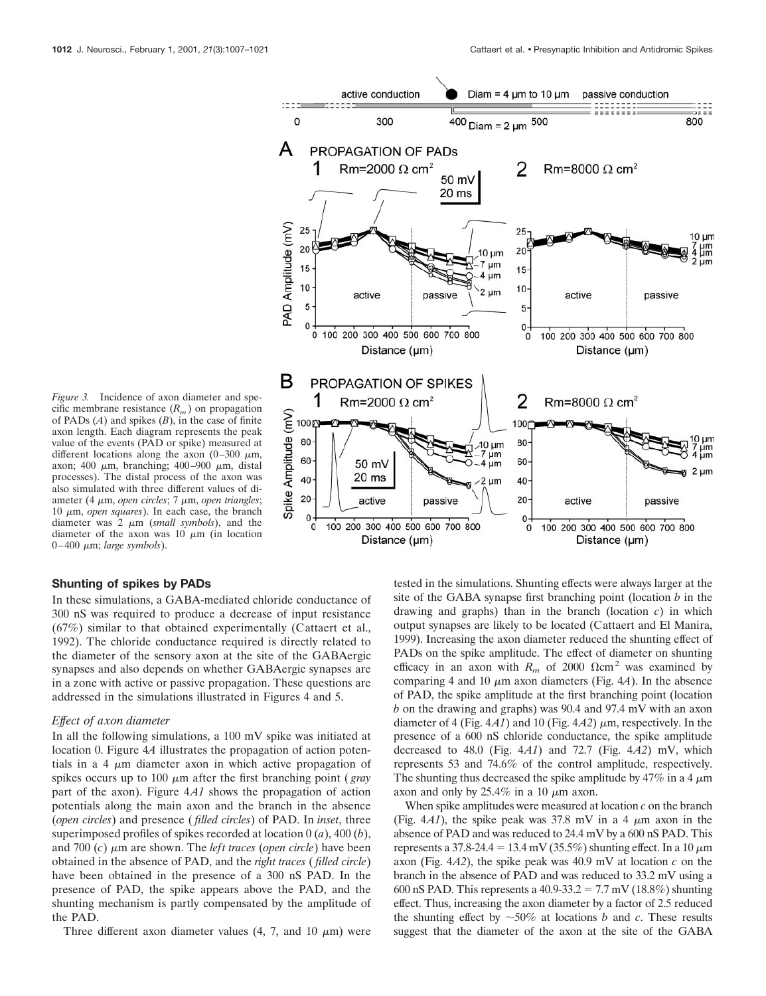

*Figure 3.* Incidence of axon diameter and specific membrane resistance  $(R_m)$  on propagation of PADs (*A*) and spikes (*B*), in the case of finite axon length. Each diagram represents the peak value of the events (PAD or spike) measured at different locations along the axon  $(0-300 \mu m,$ axon; 400  $\mu$ m, branching; 400–900  $\mu$ m, distal processes). The distal process of the axon was also simulated with three different values of diameter (4 μm, *open circles*; 7 μm, *open triangles*; 10 <sup>m</sup>m, *open squares*). In each case, the branch diameter was  $2 \mu m$  (*small symbols*), and the diameter of the axon was 10  $\mu$ m (in location 0–400 <sup>m</sup>m; *large symbols*).

## **Shunting of spikes by PADs**

In these simulations, a GABA-mediated chloride conductance of 300 nS was required to produce a decrease of input resistance (67%) similar to that obtained experimentally (Cattaert et al., 1992). The chloride conductance required is directly related to the diameter of the sensory axon at the site of the GABAergic synapses and also depends on whether GABAergic synapses are in a zone with active or passive propagation. These questions are addressed in the simulations illustrated in Figures 4 and 5.

#### *Effect of axon diameter*

In all the following simulations, a 100 mV spike was initiated at location 0. Figure 4*A* illustrates the propagation of action potentials in a 4  $\mu$ m diameter axon in which active propagation of spikes occurs up to 100  $\mu$ m after the first branching point (*gray* part of the axon). Figure 4*A1* shows the propagation of action potentials along the main axon and the branch in the absence (*open circles*) and presence ( *filled circles*) of PAD. In *inset*, three superimposed profiles of spikes recorded at location 0 (*a*), 400 (*b*), and 700  $(c)$   $\mu$ m are shown. The *left traces* (*open circle*) have been obtained in the absence of PAD, and the *right traces* ( *filled circle*) have been obtained in the presence of a 300 nS PAD. In the presence of PAD, the spike appears above the PAD, and the shunting mechanism is partly compensated by the amplitude of the PAD.

Three different axon diameter values (4, 7, and 10  $\mu$ m) were

tested in the simulations. Shunting effects were always larger at the site of the GABA synapse first branching point (location *b* in the drawing and graphs) than in the branch (location *c*) in which output synapses are likely to be located (Cattaert and El Manira, 1999). Increasing the axon diameter reduced the shunting effect of PADs on the spike amplitude. The effect of diameter on shunting efficacy in an axon with  $R_m$  of 2000  $\Omega$ cm<sup>2</sup> was examined by comparing 4 and 10  $\mu$ m axon diameters (Fig. 4*A*). In the absence of PAD, the spike amplitude at the first branching point (location *b* on the drawing and graphs) was 90.4 and 97.4 mV with an axon diameter of 4 (Fig.  $4AI$ ) and 10 (Fig.  $4A2$ )  $\mu$ m, respectively. In the presence of a 600 nS chloride conductance, the spike amplitude decreased to 48.0 (Fig. 4*A1*) and 72.7 (Fig. 4*A2*) mV, which represents 53 and 74.6% of the control amplitude, respectively. The shunting thus decreased the spike amplitude by 47% in a 4  $\mu$ m axon and only by  $25.4\%$  in a 10  $\mu$ m axon.

When spike amplitudes were measured at location *c* on the branch (Fig.  $4AI$ ), the spike peak was 37.8 mV in a 4  $\mu$ m axon in the absence of PAD and was reduced to 24.4 mV by a 600 nS PAD. This represents a 37.8-24.4 = 13.4 mV (35.5%) shunting effect. In a 10  $\mu$ m axon (Fig. 4*A2*), the spike peak was 40.9 mV at location *c* on the branch in the absence of PAD and was reduced to 33.2 mV using a 600 nS PAD. This represents a 40.9-33.2 = 7.7 mV (18.8%) shunting effect. Thus, increasing the axon diameter by a factor of 2.5 reduced the shunting effect by  $\sim$  50% at locations *b* and *c*. These results suggest that the diameter of the axon at the site of the GABA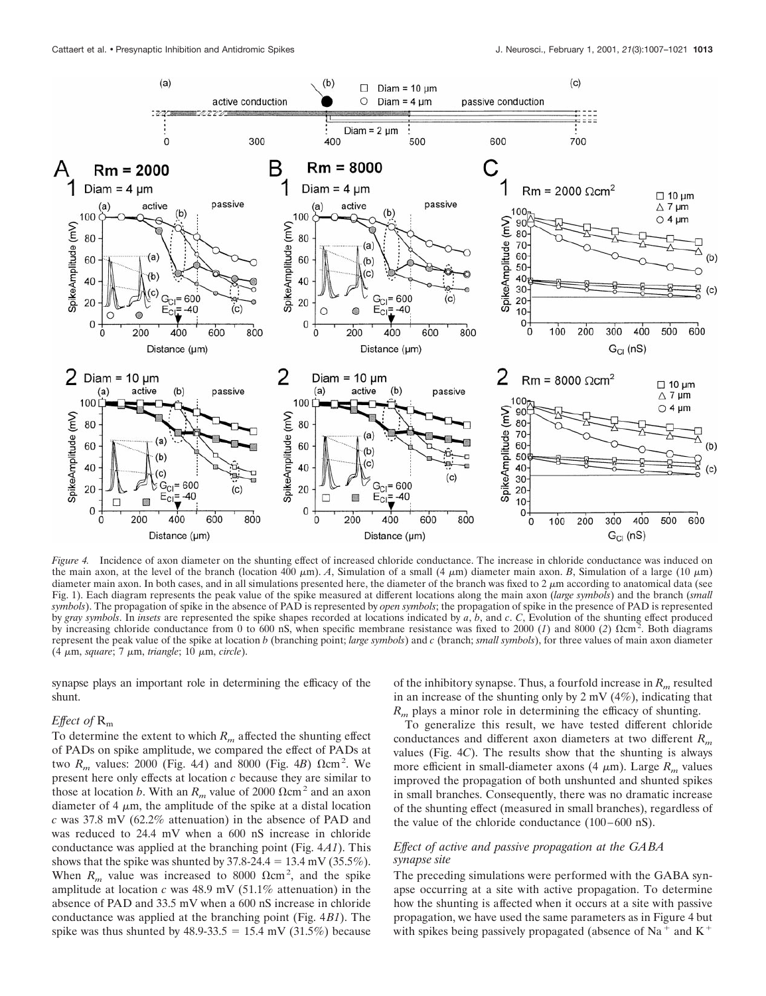

*Figure 4.* Incidence of axon diameter on the shunting effect of increased chloride conductance. The increase in chloride conductance was induced on the main axon, at the level of the branch (location 400  $\mu$ m). *A*, Simulation of a small (4  $\mu$ m) diameter main axon. *B*, Simulation of a large (10  $\mu$ m) diameter main axon. In both cases, and in all simulations presented here, the diameter of the branch was fixed to  $2 \mu$ m according to anatomical data (see Fig. 1). Each diagram represents the peak value of the spike measured at different locations along the main axon (*large symbols*) and the branch (*small symbols*). The propagation of spike in the absence of PAD is represented by *open symbols*; the propagation of spike in the presence of PAD is represented by *gray symbols*. In *insets* are represented the spike shapes recorded at locations indicated by *a*, *b*, and *c*. *C*, Evolution of the shunting effect produced by increasing chloride conductance from 0 to 600 nS, when specific membrane resistance was fixed to 2000 (*1*) and 8000 (2)  $\Omega$ cm<sup>2</sup>. Both diagrams represent the peak value of the spike at location *b* (branching point; *large symbols*) and *c* (branch; *small symbols*), for three values of main axon diameter (4 <sup>m</sup>m, *square*; 7 <sup>m</sup>m, *triangle*; 10 <sup>m</sup>m, *circle*).

synapse plays an important role in determining the efficacy of the shunt.

# *Effect of* Rm

To determine the extent to which  $R<sub>m</sub>$  affected the shunting effect of PADs on spike amplitude, we compared the effect of PADs at two  $R_m$  values: 2000 (Fig. 4A) and 8000 (Fig. 4B)  $\Omega$ cm<sup>2</sup>. We present here only effects at location *c* because they are similar to those at location *b*. With an  $R_m$  value of 2000  $\Omega$ cm<sup>2</sup> and an axon diameter of 4  $\mu$ m, the amplitude of the spike at a distal location *c* was 37.8 mV (62.2% attenuation) in the absence of PAD and was reduced to 24.4 mV when a 600 nS increase in chloride conductance was applied at the branching point (Fig. 4*A1*). This shows that the spike was shunted by 37.8-24.4 = 13.4 mV (35.5%). When  $R_m$  value was increased to 8000  $\Omega$ cm<sup>2</sup>, and the spike amplitude at location *c* was 48.9 mV (51.1% attenuation) in the absence of PAD and 33.5 mV when a 600 nS increase in chloride conductance was applied at the branching point (Fig. 4*B1*). The spike was thus shunted by  $48.9 - 33.5 = 15.4$  mV (31.5%) because

of the inhibitory synapse. Thus, a fourfold increase in *Rm* resulted in an increase of the shunting only by  $2 \text{ mV } (4\%)$ , indicating that *Rm* plays a minor role in determining the efficacy of shunting.

To generalize this result, we have tested different chloride conductances and different axon diameters at two different *Rm* values (Fig. 4*C*). The results show that the shunting is always more efficient in small-diameter axons  $(4 \mu m)$ . Large  $R_m$  values improved the propagation of both unshunted and shunted spikes in small branches. Consequently, there was no dramatic increase of the shunting effect (measured in small branches), regardless of the value of the chloride conductance (100–600 nS).

# *Effect of active and passive propagation at the GABA synapse site*

The preceding simulations were performed with the GABA synapse occurring at a site with active propagation. To determine how the shunting is affected when it occurs at a site with passive propagation, we have used the same parameters as in Figure 4 but with spikes being passively propagated (absence of Na<sup>+</sup> and K<sup>+</sup>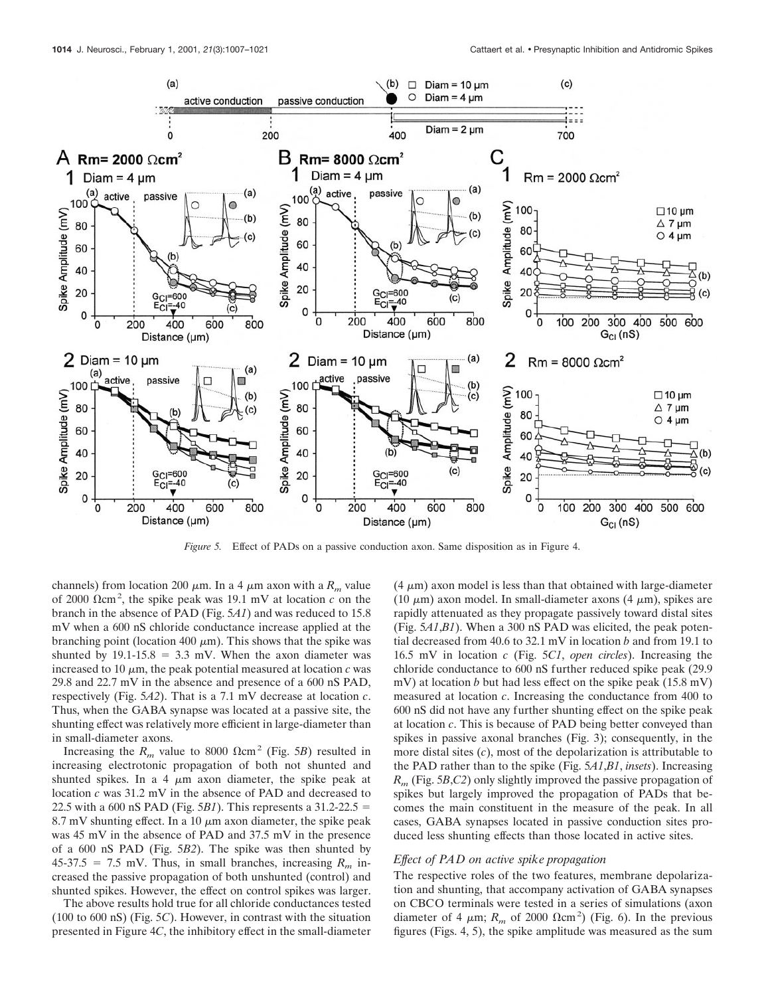

*Figure 5.* Effect of PADs on a passive conduction axon. Same disposition as in Figure 4.

channels) from location 200  $\mu$ m. In a 4  $\mu$ m axon with a  $R_m$  value of 2000  $\Omega$ cm<sup>2</sup>, the spike peak was 19.1 mV at location  $\tilde{c}$  on the branch in the absence of PAD (Fig. 5*A1*) and was reduced to 15.8 mV when a 600 nS chloride conductance increase applied at the branching point (location 400  $\mu$ m). This shows that the spike was shunted by  $19.1 - 15.8 = 3.3$  mV. When the axon diameter was increased to 10  $\mu$ m, the peak potential measured at location *c* was 29.8 and 22.7 mV in the absence and presence of a 600 nS PAD, respectively (Fig. 5*A2*). That is a 7.1 mV decrease at location *c*. Thus, when the GABA synapse was located at a passive site, the shunting effect was relatively more efficient in large-diameter than in small-diameter axons.

Increasing the  $R_m$  value to 8000  $\Omega$ cm<sup>2</sup> (Fig. 5*B*) resulted in increasing electrotonic propagation of both not shunted and shunted spikes. In a 4  $\mu$ m axon diameter, the spike peak at location *c* was 31.2 mV in the absence of PAD and decreased to 22.5 with a 600 nS PAD (Fig. 5*B1*). This represents a  $31.2 - 22.5 =$ 8.7 mV shunting effect. In a 10  $\mu$ m axon diameter, the spike peak was 45 mV in the absence of PAD and 37.5 mV in the presence of a 600 nS PAD (Fig. 5*B2*). The spike was then shunted by  $45-37.5 = 7.5$  mV. Thus, in small branches, increasing  $R_m$  increased the passive propagation of both unshunted (control) and shunted spikes. However, the effect on control spikes was larger.

The above results hold true for all chloride conductances tested (100 to 600 nS) (Fig. 5*C*). However, in contrast with the situation presented in Figure 4*C*, the inhibitory effect in the small-diameter  $(4 \mu m)$  axon model is less than that obtained with large-diameter (10  $\mu$ m) axon model. In small-diameter axons (4  $\mu$ m), spikes are rapidly attenuated as they propagate passively toward distal sites (Fig. 5*A1*,*B1*). When a 300 nS PAD was elicited, the peak potential decreased from 40.6 to 32.1 mV in location *b* and from 19.1 to 16.5 mV in location *c* (Fig. 5*C1*, *open circles*). Increasing the chloride conductance to 600 nS further reduced spike peak (29.9 mV) at location *b* but had less effect on the spike peak (15.8 mV) measured at location *c*. Increasing the conductance from 400 to 600 nS did not have any further shunting effect on the spike peak at location *c*. This is because of PAD being better conveyed than spikes in passive axonal branches (Fig. 3); consequently, in the more distal sites (*c*), most of the depolarization is attributable to the PAD rather than to the spike (Fig. 5*A1*,*B1*, *insets*). Increasing *Rm* (Fig. 5*B*,*C2*) only slightly improved the passive propagation of spikes but largely improved the propagation of PADs that becomes the main constituent in the measure of the peak. In all cases, GABA synapses located in passive conduction sites produced less shunting effects than those located in active sites.

## *Effect of PAD on active spike propagation*

The respective roles of the two features, membrane depolarization and shunting, that accompany activation of GABA synapses on CBCO terminals were tested in a series of simulations (axon diameter of 4  $\mu$ m;  $R_m$  of 2000  $\Omega$ cm<sup>2</sup>) (Fig. 6). In the previous figures (Figs. 4, 5), the spike amplitude was measured as the sum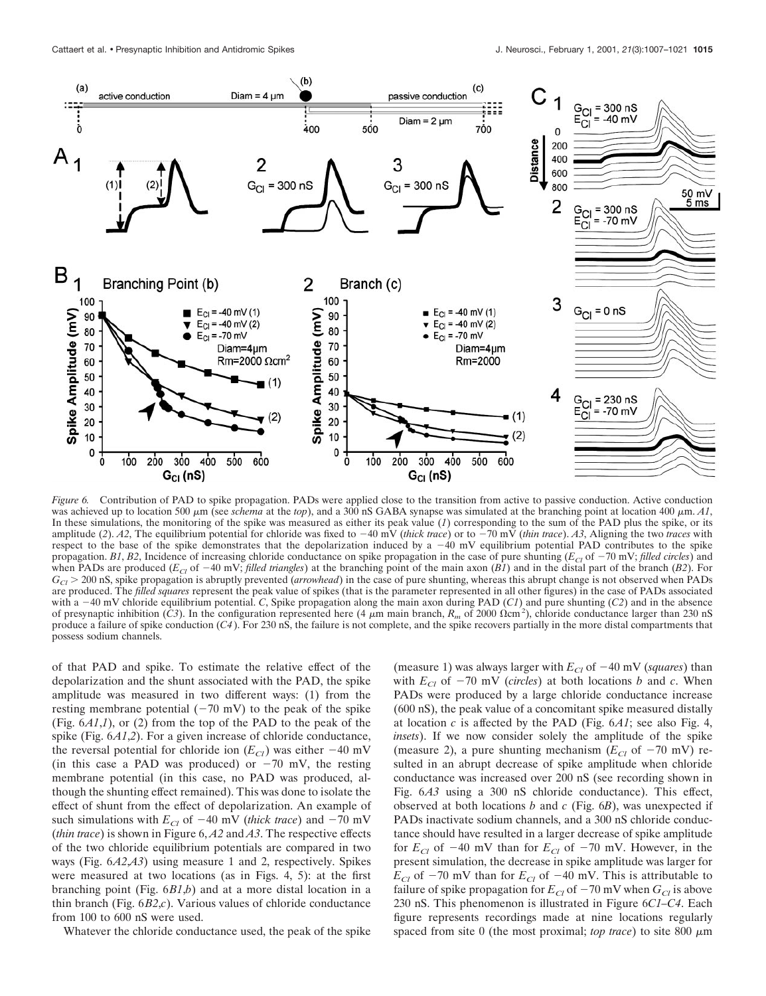

*Figure 6.* Contribution of PAD to spike propagation. PADs were applied close to the transition from active to passive conduction. Active conduction was achieved up to location 500  $\mu$ m (see *schema* at the *top*), and a 300 nS GABA synapse was simulated at the branching point at location 400  $\mu$ m. *A1*, In these simulations, the monitoring of the spike was measured as either its peak value (*1*) corresponding to the sum of the PAD plus the spike, or its amplitude (2). A2, The equilibrium potential for chloride was fixed to  $-40$  mV (*thick trace*) or to  $-70$  mV (*thin trace*). A3, Aligning the two *traces* with respect to the base of the spike demonstrates that the depolarization induced by a  $-40$  mV equilibrium potential PAD contributes to the spike propagation. *B1*, *B2*, Incidence of increasing chloride conductance on spike propagation in the case of pure shunting ( $E_C$  of  $-70$  mV; *filled circles*) and when PADs are produced ( $E_{C1}$  of  $-40$  mV; *filled triangles*) at the branching point of the main axon (*B1*) and in the distal part of the branch (*B2*). For  $G_C$  > 200 nS, spike propagation is abruptly prevented (*arrowhead*) in the case of pure shunting, whereas this abrupt change is not observed when PADs are produced. The *filled squares* represent the peak value of spikes (that is the parameter represented in all other figures) in the case of PADs associated with a  $-40$  mV chloride equilibrium potential. *C*, Spike propagation along the main axon during PAD (*C1*) and pure shunting (*C2*) and in the absence of presynaptic inhibition (C3). In the configuration represented here (4  $\mu$ m main branch,  $R_m$  of 2000  $\Omega$ cm<sup>2</sup>), chloride conductance larger than 230 nS produce a failure of spike conduction (*C4* ). For 230 nS, the failure is not complete, and the spike recovers partially in the more distal compartments that possess sodium channels.

of that PAD and spike. To estimate the relative effect of the depolarization and the shunt associated with the PAD, the spike amplitude was measured in two different ways: (1) from the resting membrane potential  $(-70 \text{ mV})$  to the peak of the spike (Fig. 6*A1*,*1*), or (2) from the top of the PAD to the peak of the spike (Fig. 6*A1*,*2*). For a given increase of chloride conductance, the reversal potential for chloride ion  $(E_{Cl})$  was either  $-40$  mV (in this case a PAD was produced) or  $-70$  mV, the resting membrane potential (in this case, no PAD was produced, although the shunting effect remained). This was done to isolate the effect of shunt from the effect of depolarization. An example of such simulations with  $E_{C}$  of  $-40$  mV (*thick trace*) and  $-70$  mV (*thin trace*) is shown in Figure 6, *A2* and *A3*. The respective effects of the two chloride equilibrium potentials are compared in two ways (Fig. 6*A2*,*A3*) using measure 1 and 2, respectively. Spikes were measured at two locations (as in Figs. 4, 5): at the first branching point (Fig. 6*B1*,*b*) and at a more distal location in a thin branch (Fig. 6*B2*,*c*). Various values of chloride conductance from 100 to 600 nS were used.

Whatever the chloride conductance used, the peak of the spike

(measure 1) was always larger with  $E_{Cl}$  of  $-40$  mV (*squares*) than with  $E_{C}$  of  $-70$  mV (*circles*) at both locations *b* and *c*. When PADs were produced by a large chloride conductance increase (600 nS), the peak value of a concomitant spike measured distally at location *c* is affected by the PAD (Fig. 6*A1*; see also Fig. 4, *insets*). If we now consider solely the amplitude of the spike (measure 2), a pure shunting mechanism  $(E_{Cl}$  of  $-70$  mV) resulted in an abrupt decrease of spike amplitude when chloride conductance was increased over 200 nS (see recording shown in Fig. 6*A3* using a 300 nS chloride conductance). This effect, observed at both locations *b* and *c* (Fig. 6*B*), was unexpected if PADs inactivate sodium channels, and a 300 nS chloride conductance should have resulted in a larger decrease of spike amplitude for  $E_{Cl}$  of  $-40$  mV than for  $E_{Cl}$  of  $-70$  mV. However, in the present simulation, the decrease in spike amplitude was larger for  $E_{CI}$  of  $-70$  mV than for  $E_{CI}$  of  $-40$  mV. This is attributable to failure of spike propagation for  $E_{Cl}$  of  $-70$  mV when  $G_{Cl}$  is above 230 nS. This phenomenon is illustrated in Figure 6*C1–C4*. Each figure represents recordings made at nine locations regularly spaced from site 0 (the most proximal; *top trace*) to site 800  $\mu$ m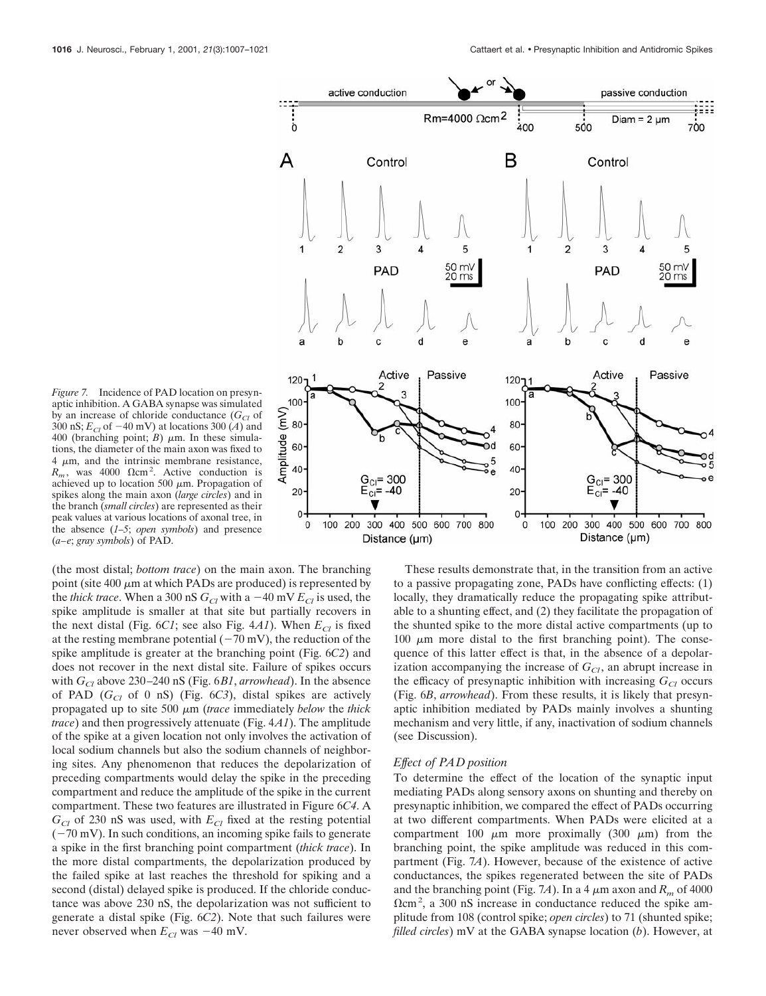

*Figure 7.* Incidence of PAD location on presynaptic inhibition. A GABA synapse was simulated by an increase of chloride conductance  $(G_C)$  of 300 nS;  $E_{Cl}$  of  $-40$  mV) at locations 300 (*A*) and 400 (branching point;  $B$ )  $\mu$ m. In these simulations, the diameter of the main axon was fixed to  $4 \mu m$ , and the intrinsic membrane resistance,  $R_m$ , was 4000  $\Omega$ cm<sup>2</sup>. Active conduction is achieved up to location 500  $\mu$ m. Propagation of spikes along the main axon (*large circles*) and in the branch (*small circles*) are represented as their peak values at various locations of axonal tree, in the absence (*1–5*; *open symbols*) and presence (*a*–*e*; *gray symbols*) of PAD.

(the most distal; *bottom trace*) on the main axon. The branching point (site  $400 \mu m$  at which PADs are produced) is represented by the *thick trace*. When a 300 nS  $G_C$  with a -40 mV  $E_C$  is used, the spike amplitude is smaller at that site but partially recovers in the next distal (Fig. 6*C1*; see also Fig. 4*A1*). When  $E_{Cl}$  is fixed at the resting membrane potential  $(-70 \text{ mV})$ , the reduction of the spike amplitude is greater at the branching point (Fig. 6*C2*) and does not recover in the next distal site. Failure of spikes occurs with  $G_{C}$  above 230–240 nS (Fig. 6*B1*, *arrowhead*). In the absence of PAD  $(G_{C1}$  of 0 nS) (Fig. 6C3), distal spikes are actively propagated up to site 500  $\mu$ m (*trace* immediately *below* the *thick trace*) and then progressively attenuate (Fig. 4*A1*). The amplitude of the spike at a given location not only involves the activation of local sodium channels but also the sodium channels of neighboring sites. Any phenomenon that reduces the depolarization of preceding compartments would delay the spike in the preceding compartment and reduce the amplitude of the spike in the current compartment. These two features are illustrated in Figure 6*C4*. A  $G_{C1}$  of 230 nS was used, with  $E_{C1}$  fixed at the resting potential  $(-70 \text{ mV})$ . In such conditions, an incoming spike fails to generate a spike in the first branching point compartment (*thick trace*). In the more distal compartments, the depolarization produced by the failed spike at last reaches the threshold for spiking and a second (distal) delayed spike is produced. If the chloride conductance was above 230 nS, the depolarization was not sufficient to generate a distal spike (Fig. 6*C2*). Note that such failures were never observed when  $E_{Cl}$  was  $-40$  mV.

These results demonstrate that, in the transition from an active to a passive propagating zone, PADs have conflicting effects: (1) locally, they dramatically reduce the propagating spike attributable to a shunting effect, and (2) they facilitate the propagation of the shunted spike to the more distal active compartments (up to 100  $\mu$ m more distal to the first branching point). The consequence of this latter effect is that, in the absence of a depolarization accompanying the increase of  $G_{Cl}$ , an abrupt increase in the efficacy of presynaptic inhibition with increasing  $G_{Cl}$  occurs (Fig. 6*B*, *arrowhead*). From these results, it is likely that presynaptic inhibition mediated by PADs mainly involves a shunting mechanism and very little, if any, inactivation of sodium channels (see Discussion).

#### *Effect of PAD position*

To determine the effect of the location of the synaptic input mediating PADs along sensory axons on shunting and thereby on presynaptic inhibition, we compared the effect of PADs occurring at two different compartments. When PADs were elicited at a compartment 100  $\mu$ m more proximally (300  $\mu$ m) from the branching point, the spike amplitude was reduced in this compartment (Fig. 7*A*). However, because of the existence of active conductances, the spikes regenerated between the site of PADs and the branching point (Fig. 7A). In a 4  $\mu$ m axon and  $R_m$  of 4000  $\Omega$ cm<sup>2</sup>, a 300 nS increase in conductance reduced the spike amplitude from 108 (control spike; *open circles*) to 71 (shunted spike; *filled circles*) mV at the GABA synapse location (*b*). However, at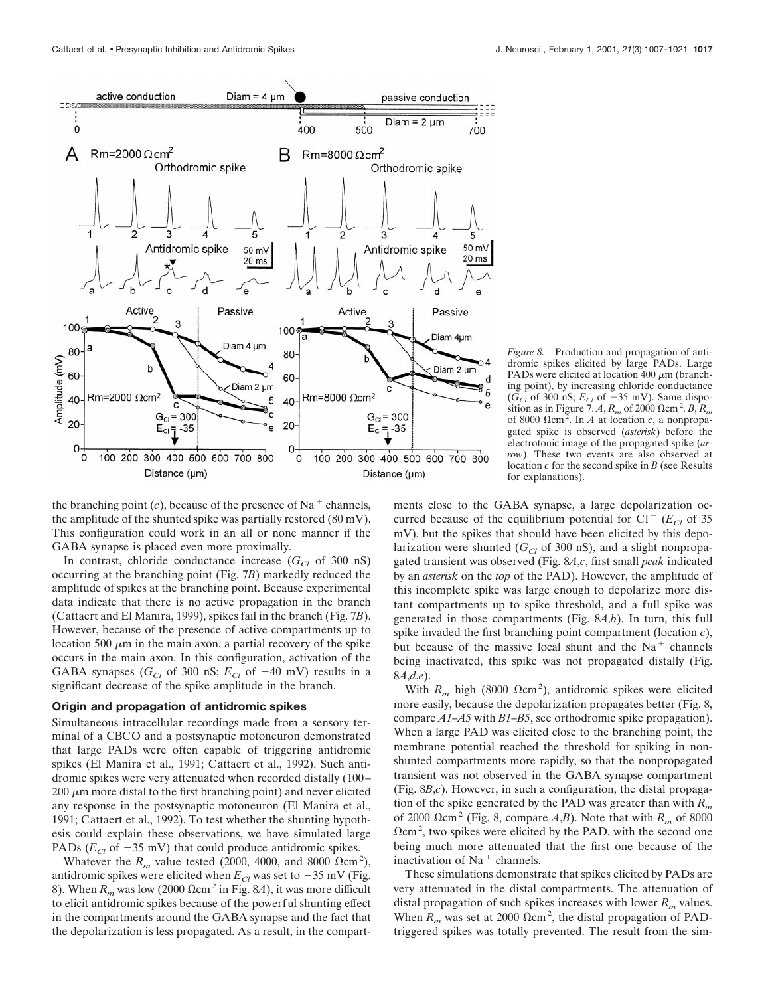

*Figure 8.* Production and propagation of antidromic spikes elicited by large PADs. Large PADs were elicited at location 400  $\mu$ m (branching point), by increasing chloride conductance  $(\overrightarrow{G_{Cl}}$  of 300 nS;  $E_{Cl}$  of -35 mV). Same disposition as in Figure 7. *A*,  $R_m$  of 2000  $\Omega$ cm<sup>2</sup>. *B*,  $R_m$ of 8000  $\Omega$ cm<sup>2</sup>. In *A* at location *c*, a nonpropagated spike is observed (*asterisk*) before the electrotonic image of the propagated spike (*arrow*). These two events are also observed at location *c* for the second spike in *B* (see Results for explanations).

the branching point  $(c)$ , because of the presence of Na<sup>+</sup> channels, the amplitude of the shunted spike was partially restored (80 mV). This configuration could work in an all or none manner if the GABA synapse is placed even more proximally.

In contrast, chloride conductance increase  $(G_{Cl}$  of 300 nS) occurring at the branching point (Fig. 7*B*) markedly reduced the amplitude of spikes at the branching point. Because experimental data indicate that there is no active propagation in the branch (Cattaert and El Manira, 1999), spikes fail in the branch (Fig. 7*B*). However, because of the presence of active compartments up to location 500  $\mu$ m in the main axon, a partial recovery of the spike occurs in the main axon. In this configuration, activation of the GABA synapses ( $G_C$  of 300 nS;  $E_C$  of -40 mV) results in a significant decrease of the spike amplitude in the branch.

## **Origin and propagation of antidromic spikes**

Simultaneous intracellular recordings made from a sensory terminal of a CBCO and a postsynaptic motoneuron demonstrated that large PADs were often capable of triggering antidromic spikes (El Manira et al., 1991; Cattaert et al., 1992). Such antidromic spikes were very attenuated when recorded distally (100–  $200 \mu m$  more distal to the first branching point) and never elicited any response in the postsynaptic motoneuron (El Manira et al., 1991; Cattaert et al., 1992). To test whether the shunting hypothesis could explain these observations, we have simulated large PADs ( $E_{Cl}$  of  $-35$  mV) that could produce antidromic spikes.

Whatever the  $R_m$  value tested (2000, 4000, and 8000  $\Omega$ cm<sup>2</sup>), antidromic spikes were elicited when  $E_{Cl}$  was set to  $-35$  mV (Fig. 8). When  $R_m$  was low (2000  $\Omega$ cm<sup>2</sup> in Fig. 8*A*), it was more difficult to elicit antidromic spikes because of the powerful shunting effect in the compartments around the GABA synapse and the fact that the depolarization is less propagated. As a result, in the compartments close to the GABA synapse, a large depolarization occurred because of the equilibrium potential for  $Cl^{-}(E_{Cl})$  of 35 mV), but the spikes that should have been elicited by this depolarization were shunted  $(G_{Cl}$  of 300 nS), and a slight nonpropagated transient was observed (Fig. 8*A*,*c*, first small *peak* indicated by an *asterisk* on the *top* of the PAD). However, the amplitude of this incomplete spike was large enough to depolarize more distant compartments up to spike threshold, and a full spike was generated in those compartments (Fig. 8*A*,*b*). In turn, this full spike invaded the first branching point compartment (location *c*), but because of the massive local shunt and the  $Na<sup>+</sup>$  channels being inactivated, this spike was not propagated distally (Fig. 8*A*,*d*,*e*).

With  $R_m$  high (8000  $\Omega$ cm<sup>2</sup>), antidromic spikes were elicited more easily, because the depolarization propagates better (Fig. 8, compare *A1–A5* with *B1–B5*, see orthodromic spike propagation). When a large PAD was elicited close to the branching point, the membrane potential reached the threshold for spiking in nonshunted compartments more rapidly, so that the nonpropagated transient was not observed in the GABA synapse compartment (Fig. 8*B*,*c*). However, in such a configuration, the distal propagation of the spike generated by the PAD was greater than with *Rm* of 2000  $\Omega$ cm<sup>2</sup> (Fig. 8, compare *A*,*B*). Note that with  $R_m$  of 8000  $\Omega$ cm<sup>2</sup>, two spikes were elicited by the PAD, with the second one being much more attenuated that the first one because of the inactivation of  $Na<sup>+</sup>$  channels.

These simulations demonstrate that spikes elicited by PADs are very attenuated in the distal compartments. The attenuation of distal propagation of such spikes increases with lower  $R_m$  values. When  $R_m$  was set at 2000  $\Omega$ cm<sup>2</sup>, the distal propagation of PADtriggered spikes was totally prevented. The result from the sim-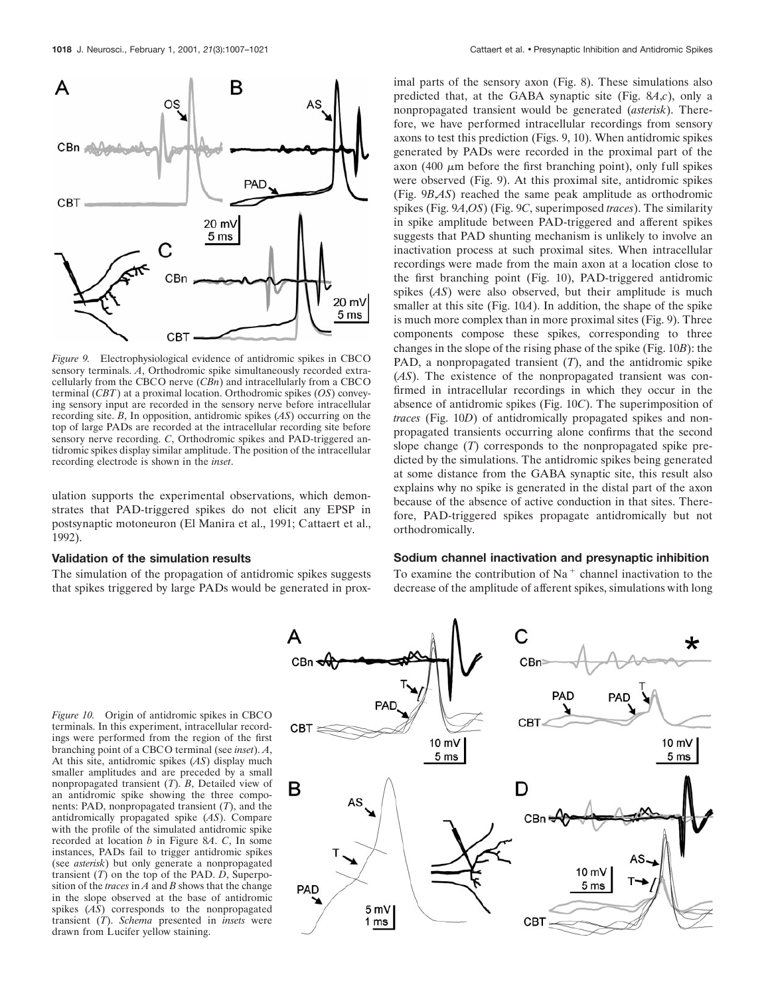

*Figure 9.* Electrophysiological evidence of antidromic spikes in CBCO sensory terminals. *A*, Orthodromic spike simultaneously recorded extracellularly from the CBCO nerve (*CBn*) and intracellularly from a CBCO terminal (*CBT*) at a proximal location. Orthodromic spikes (*OS*) conveying sensory input are recorded in the sensory nerve before intracellular recording site. *B*, In opposition, antidromic spikes (*AS*) occurring on the top of large PADs are recorded at the intracellular recording site before sensory nerve recording. *C*, Orthodromic spikes and PAD-triggered antidromic spikes display similar amplitude. The position of the intracellular recording electrode is shown in the *inset*.

ulation supports the experimental observations, which demonstrates that PAD-triggered spikes do not elicit any EPSP in postsynaptic motoneuron (El Manira et al., 1991; Cattaert et al., 1992).

# **Validation of the simulation results**

The simulation of the propagation of antidromic spikes suggests that spikes triggered by large PADs would be generated in proximal parts of the sensory axon (Fig. 8). These simulations also predicted that, at the GABA synaptic site (Fig. 8*A*,*c*), only a nonpropagated transient would be generated (*asterisk*). Therefore, we have performed intracellular recordings from sensory axons to test this prediction (Figs. 9, 10). When antidromic spikes generated by PADs were recorded in the proximal part of the axon (400  $\mu$ m before the first branching point), only full spikes were observed (Fig. 9). At this proximal site, antidromic spikes (Fig. 9*B*,*AS*) reached the same peak amplitude as orthodromic spikes (Fig. 9*A*,*OS*) (Fig. 9*C*, superimposed *traces*). The similarity in spike amplitude between PAD-triggered and afferent spikes suggests that PAD shunting mechanism is unlikely to involve an inactivation process at such proximal sites. When intracellular recordings were made from the main axon at a location close to the first branching point (Fig. 10), PAD-triggered antidromic spikes (*AS*) were also observed, but their amplitude is much smaller at this site (Fig. 10*A*). In addition, the shape of the spike is much more complex than in more proximal sites (Fig. 9). Three components compose these spikes, corresponding to three changes in the slope of the rising phase of the spike (Fig. 10*B*): the PAD, a nonpropagated transient (*T*), and the antidromic spike (*AS*). The existence of the nonpropagated transient was confirmed in intracellular recordings in which they occur in the absence of antidromic spikes (Fig. 10*C*). The superimposition of *traces* (Fig. 10*D*) of antidromically propagated spikes and nonpropagated transients occurring alone confirms that the second slope change (*T*) corresponds to the nonpropagated spike predicted by the simulations. The antidromic spikes being generated at some distance from the GABA synaptic site, this result also explains why no spike is generated in the distal part of the axon because of the absence of active conduction in that sites. Therefore, PAD-triggered spikes propagate antidromically but not orthodromically.

## **Sodium channel inactivation and presynaptic inhibition**

To examine the contribution of  $Na<sup>+</sup>$  channel inactivation to the decrease of the amplitude of afferent spikes, simulations with long

*Figure 10.* Origin of antidromic spikes in CBCO terminals. In this experiment, intracellular recordings were performed from the region of the first branching point of a CBCO terminal (see *inset*). *A*, At this site, antidromic spikes (*AS*) display much smaller amplitudes and are preceded by a small nonpropagated transient (*T*). *B*, Detailed view of an antidromic spike showing the three components: PAD, nonpropagated transient (*T*), and the antidromically propagated spike (*AS*). Compare with the profile of the simulated antidromic spike recorded at location *b* in Figure 8*A*. *C*, In some instances, PADs fail to trigger antidromic spikes (see *asterisk*) but only generate a nonpropagated transient (*T*) on the top of the PAD. *D*, Superposition of the *traces* in *A* and *B* shows that the change in the slope observed at the base of antidromic spikes (*AS*) corresponds to the nonpropagated transient (*T*). *Schema* presented in *insets* were drawn from Lucifer yellow staining.

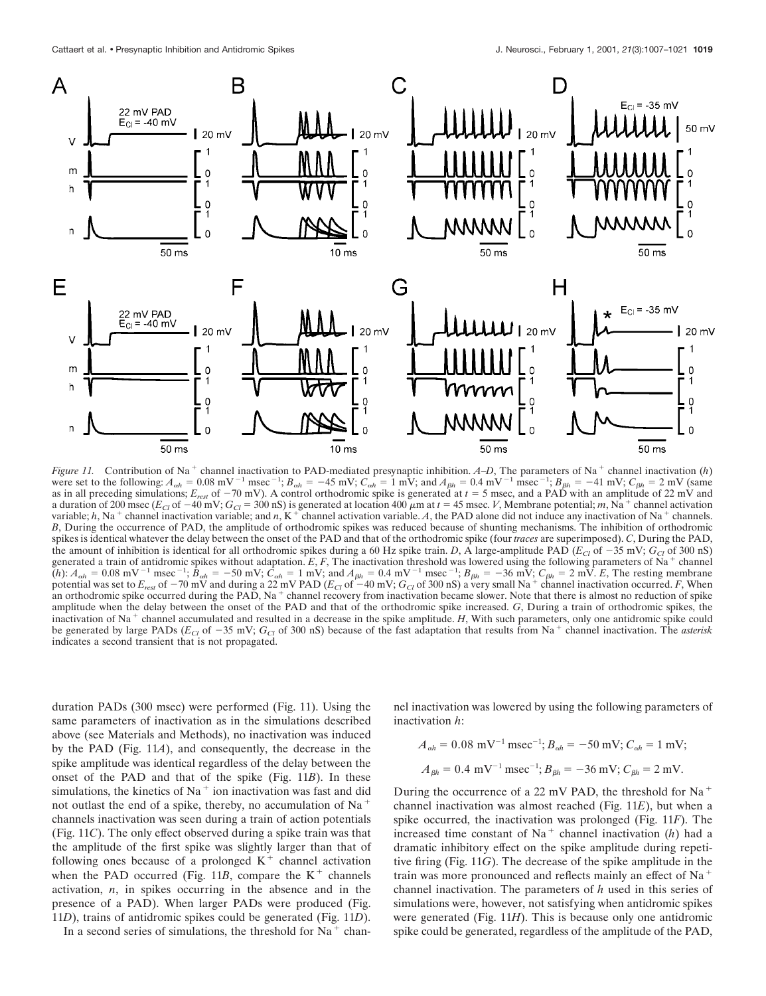

*Figure 11.* Contribution of Na<sup>+</sup> channel inactivation to PAD-mediated presynaptic inhibition. *A*–*D*, The parameters of Na<sup>+</sup> channel inactivation (*h*) were set to the following:  $A_{\alpha h} = 0.08 \text{ mV}^{-1} \text{ msec}^{-1}$ ;  $B_{\alpha h} = -45 \text{ mV}$ ;  $C_{\alpha h} = 1 \text{ mV}$ ; and  $A_{\beta h} = 0.4 \text{ mV}^{-1} \text{ msec}^{-1}$ ;  $B_{\beta h} = -41 \text{ mV}$ ;  $C_{\beta h} = 2 \text{ mV}$  (same as in all preceding simulations;  $E_{rest}$  of  $-70$  mV). A control orthodromic spike is generated at  $t = 5$  msec, and a PAD with an amplitude of 22 mV and a duration of 200 msec ( $E_{CI}$  of  $-40$  mV;  $G_{CI} = 300$  nS) is genera variable;  $h$ , Na <sup>+</sup> channel inactivation variable; and  $n$ , K <sup>+</sup> channel activation variable. *A*, the PAD alone did not induce any inactivation of Na <sup>+</sup> channels. *B*, During the occurrence of PAD, the amplitude of orthodromic spikes was reduced because of shunting mechanisms. The inhibition of orthodromic spikes is identical whatever the delay between the onset of the PAD and that of the orthodromic spike (four *traces* are superimposed). *C*, During the PAD, the amount of inhibition is identical for all orthodromic spikes during a 60 Hz spike train. *D*, A large-amplitude PAD ( $E_{Cl}$  of  $-35$  mV;  $G_{Cl}$  of 300 nS) generated a train of antidromic spikes without adaptation. *E*, *F*, The inactivation threshold was lowered using the following parameters of Na<sup>+</sup> channel (h):  $A_{\alpha h} = 0.08 \text{ mV}^{-1} \text{ msec}^{-1}$ ;  $B_{\alpha h} = -50 \text{ mV}$ ;  $C_{\alpha h} = 1 \text{ mV}$ ; and  $A_{\beta h} = 0.4 \text{ mV}^{-1} \text{ msec}^{-1}$ ;  $B_{\beta h} = -36 \text{ mV}$ ;  $C_{\beta h} = 2 \text{ mV}$ . E, The resting membrane potential was set to  $E_{\text{rest}}$  of  $-70 \text{ mV}$ an orthodromic spike occurred during the PAD, Na<sup>+</sup> channel recovery from inactivation became slower. Note that there is almost no reduction of spike amplitude when the delay between the onset of the PAD and that of the orthodromic spike increased. *G*, During a train of orthodromic spikes, the inactivation of Na<sup>+</sup> channel accumulated and resulted in a decrease in the spike amplitude. *H*, With such parameters, only one antidromic spike could be generated by large PADs ( $E_{C1}$  of -35 mV;  $G_{C1}$  of 300 nS) because of the fast adaptation that results from Na<sup>+</sup> channel inactivation. The *asterisk* indicates a second transient that is not propagated.

duration PADs (300 msec) were performed (Fig. 11). Using the same parameters of inactivation as in the simulations described above (see Materials and Methods), no inactivation was induced by the PAD (Fig. 11*A*), and consequently, the decrease in the spike amplitude was identical regardless of the delay between the onset of the PAD and that of the spike (Fig. 11*B*). In these simulations, the kinetics of  $Na<sup>+</sup>$  ion inactivation was fast and did not outlast the end of a spike, thereby, no accumulation of Na<sup>+</sup> channels inactivation was seen during a train of action potentials (Fig. 11*C*). The only effect observed during a spike train was that the amplitude of the first spike was slightly larger than that of following ones because of a prolonged  $K^+$  channel activation when the PAD occurred (Fig. 11*B*, compare the  $K^+$  channels activation, *n*, in spikes occurring in the absence and in the presence of a PAD). When larger PADs were produced (Fig. 11*D*), trains of antidromic spikes could be generated (Fig. 11*D*).

In a second series of simulations, the threshold for  $Na<sup>+</sup>$  chan-

nel inactivation was lowered by using the following parameters of inactivation *h*:

$$
A_{\alpha h} = 0.08 \text{ mV}^{-1} \text{msec}^{-1}; B_{\alpha h} = -50 \text{ mV}; C_{\alpha h} = 1 \text{ mV};
$$
  
 $A_{\beta h} = 0.4 \text{ mV}^{-1} \text{msec}^{-1}; B_{\beta h} = -36 \text{ mV}; C_{\beta h} = 2 \text{ mV}.$ 

During the occurrence of a 22 mV PAD, the threshold for Na<sup>+</sup> channel inactivation was almost reached (Fig. 11*E*), but when a spike occurred, the inactivation was prolonged (Fig. 11*F*). The increased time constant of Na<sup>+</sup> channel inactivation  $(h)$  had a dramatic inhibitory effect on the spike amplitude during repetitive firing (Fig. 11*G*). The decrease of the spike amplitude in the train was more pronounced and reflects mainly an effect of Na<sup>+</sup> channel inactivation. The parameters of *h* used in this series of simulations were, however, not satisfying when antidromic spikes were generated (Fig. 11*H*). This is because only one antidromic spike could be generated, regardless of the amplitude of the PAD,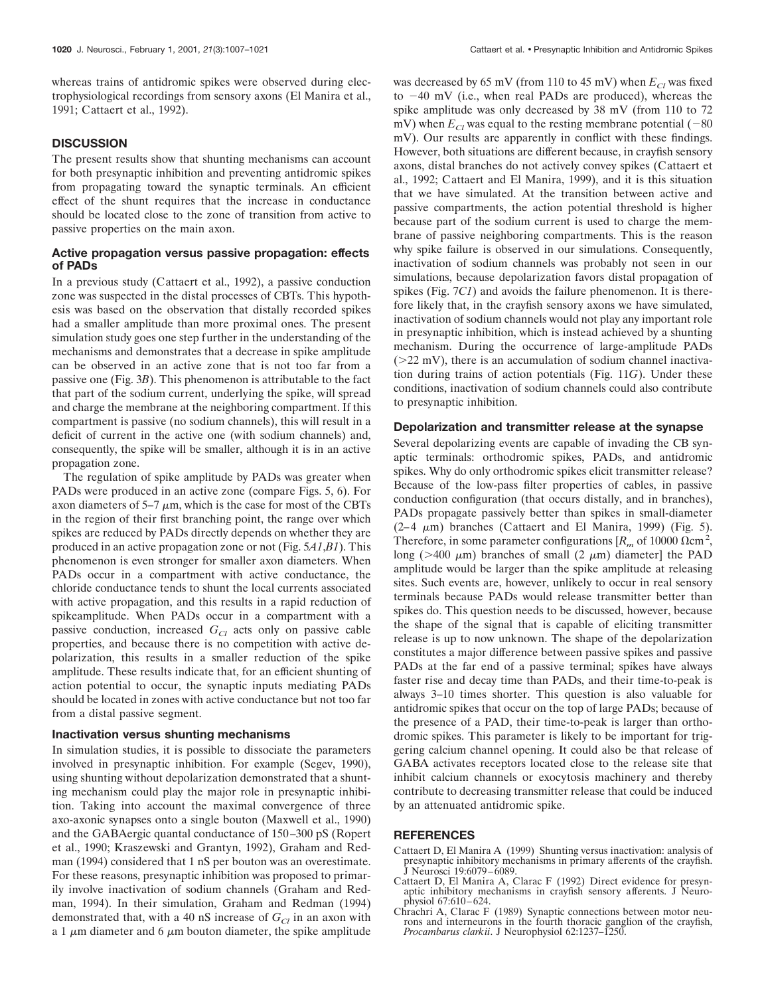whereas trains of antidromic spikes were observed during electrophysiological recordings from sensory axons (El Manira et al., 1991; Cattaert et al., 1992).

# **DISCUSSION**

The present results show that shunting mechanisms can account for both presynaptic inhibition and preventing antidromic spikes from propagating toward the synaptic terminals. An efficient effect of the shunt requires that the increase in conductance should be located close to the zone of transition from active to passive properties on the main axon.

# **Active propagation versus passive propagation: effects of PADs**

In a previous study (Cattaert et al., 1992), a passive conduction zone was suspected in the distal processes of CBTs. This hypothesis was based on the observation that distally recorded spikes had a smaller amplitude than more proximal ones. The present simulation study goes one step further in the understanding of the mechanisms and demonstrates that a decrease in spike amplitude can be observed in an active zone that is not too far from a passive one (Fig. 3*B*). This phenomenon is attributable to the fact that part of the sodium current, underlying the spike, will spread and charge the membrane at the neighboring compartment. If this compartment is passive (no sodium channels), this will result in a deficit of current in the active one (with sodium channels) and, consequently, the spike will be smaller, although it is in an active propagation zone.

The regulation of spike amplitude by PADs was greater when PADs were produced in an active zone (compare Figs. 5, 6). For axon diameters of  $5-7 \mu m$ , which is the case for most of the CBTs in the region of their first branching point, the range over which spikes are reduced by PADs directly depends on whether they are produced in an active propagation zone or not (Fig. 5*A1*,*B1*). This phenomenon is even stronger for smaller axon diameters. When PADs occur in a compartment with active conductance, the chloride conductance tends to shunt the local currents associated with active propagation, and this results in a rapid reduction of spikeamplitude. When PADs occur in a compartment with a passive conduction, increased G<sub>Cl</sub> acts only on passive cable properties, and because there is no competition with active depolarization, this results in a smaller reduction of the spike amplitude. These results indicate that, for an efficient shunting of action potential to occur, the synaptic inputs mediating PADs should be located in zones with active conductance but not too far from a distal passive segment.

## **Inactivation versus shunting mechanisms**

In simulation studies, it is possible to dissociate the parameters involved in presynaptic inhibition. For example (Segev, 1990), using shunting without depolarization demonstrated that a shunting mechanism could play the major role in presynaptic inhibition. Taking into account the maximal convergence of three axo-axonic synapses onto a single bouton (Maxwell et al., 1990) and the GABAergic quantal conductance of 150–300 pS (Ropert et al., 1990; Kraszewski and Grantyn, 1992), Graham and Redman (1994) considered that 1 nS per bouton was an overestimate. For these reasons, presynaptic inhibition was proposed to primarily involve inactivation of sodium channels (Graham and Redman, 1994). In their simulation, Graham and Redman (1994) demonstrated that, with a 40 nS increase of  $G_{Cl}$  in an axon with a 1  $\mu$ m diameter and 6  $\mu$ m bouton diameter, the spike amplitude

was decreased by 65 mV (from 110 to 45 mV) when  $E_{Cl}$  was fixed to  $-40$  mV (i.e., when real PADs are produced), whereas the spike amplitude was only decreased by 38 mV (from 110 to 72 mV) when  $E_{Cl}$  was equal to the resting membrane potential ( $-80$ ) mV). Our results are apparently in conflict with these findings. However, both situations are different because, in crayfish sensory axons, distal branches do not actively convey spikes (Cattaert et al., 1992; Cattaert and El Manira, 1999), and it is this situation that we have simulated. At the transition between active and passive compartments, the action potential threshold is higher because part of the sodium current is used to charge the membrane of passive neighboring compartments. This is the reason why spike failure is observed in our simulations. Consequently, inactivation of sodium channels was probably not seen in our simulations, because depolarization favors distal propagation of spikes (Fig. 7*C1*) and avoids the failure phenomenon. It is therefore likely that, in the crayfish sensory axons we have simulated, inactivation of sodium channels would not play any important role in presynaptic inhibition, which is instead achieved by a shunting mechanism. During the occurrence of large-amplitude PADs  $(>=22 \text{ mV})$ , there is an accumulation of sodium channel inactivation during trains of action potentials (Fig. 11*G*). Under these conditions, inactivation of sodium channels could also contribute to presynaptic inhibition.

#### **Depolarization and transmitter release at the synapse**

Several depolarizing events are capable of invading the CB synaptic terminals: orthodromic spikes, PADs, and antidromic spikes. Why do only orthodromic spikes elicit transmitter release? Because of the low-pass filter properties of cables, in passive conduction configuration (that occurs distally, and in branches), PADs propagate passively better than spikes in small-diameter  $(2-4 \mu m)$  branches (Cattaert and El Manira, 1999) (Fig. 5). Therefore, in some parameter configurations  $[R_m$  of 10000  $\Omega$ cm<sup>2</sup>, long ( $>400 \mu m$ ) branches of small (2  $\mu m$ ) diameter] the PAD amplitude would be larger than the spike amplitude at releasing sites. Such events are, however, unlikely to occur in real sensory terminals because PADs would release transmitter better than spikes do. This question needs to be discussed, however, because the shape of the signal that is capable of eliciting transmitter release is up to now unknown. The shape of the depolarization constitutes a major difference between passive spikes and passive PADs at the far end of a passive terminal; spikes have always faster rise and decay time than PADs, and their time-to-peak is always 3–10 times shorter. This question is also valuable for antidromic spikes that occur on the top of large PADs; because of the presence of a PAD, their time-to-peak is larger than orthodromic spikes. This parameter is likely to be important for triggering calcium channel opening. It could also be that release of GABA activates receptors located close to the release site that inhibit calcium channels or exocytosis machinery and thereby contribute to decreasing transmitter release that could be induced by an attenuated antidromic spike.

## **REFERENCES**

- Cattaert D, El Manira A (1999) Shunting versus inactivation: analysis of presynaptic inhibitory mechanisms in primary afferents of the crayfish. J Neurosci 19:6079–6089.
- Cattaert D, El Manira A, Clarac F (1992) Direct evidence for presynaptic inhibitory mechanisms in crayfish sensory afferents. J Neurophysiol 67:610–624.
- Chrachri A, Clarac F (1989) Synaptic connections between motor neurons and interneurons in the fourth thoracic ganglion of the crayfish, *Procambarus clarkii*. J Neurophysiol 62:1237–1250.